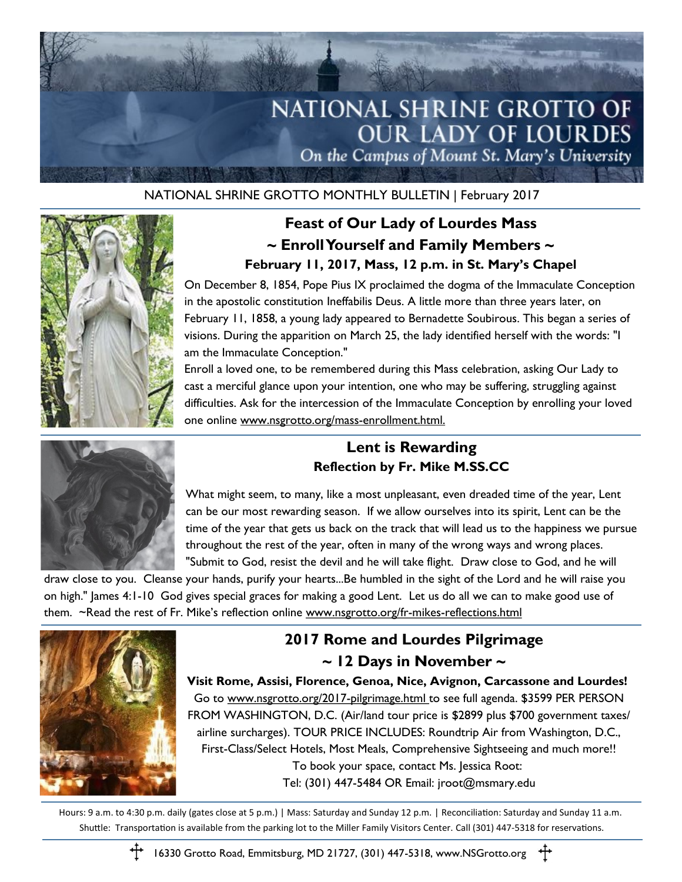

NATIONAL SHRINE GROTTO MONTHLY BULLETIN | February 2017



## **Feast of Our Lady of Lourdes Mass ~ Enroll Yourself and Family Members ~ February 11, 2017, Mass, 12 p.m. in St. Mary's Chapel**

On December 8, 1854, Pope Pius IX proclaimed the dogma of the Immaculate Conception in the apostolic constitution Ineffabilis Deus. A little more than three years later, on February 11, 1858, a young lady appeared to Bernadette Soubirous. This began a series of visions. During the apparition on March 25, the lady identified herself with the words: "I am the Immaculate Conception."

Enroll a loved one, to be remembered during this Mass celebration, asking Our Lady to cast a merciful glance upon your intention, one who may be suffering, struggling against difficulties. Ask for the intercession of the Immaculate Conception by enrolling your loved one online www.nsgrotto.org/mass-enrollment.html.



#### **Lent is Rewarding Reflection by Fr. Mike M.SS.CC**

What might seem, to many, like a most unpleasant, even dreaded time of the year, Lent can be our most rewarding season. If we allow ourselves into its spirit, Lent can be the time of the year that gets us back on the track that will lead us to the happiness we pursue throughout the rest of the year, often in many of the wrong ways and wrong places. "Submit to God, resist the devil and he will take flight. Draw close to God, and he will

draw close to you. Cleanse your hands, purify your hearts...Be humbled in the sight of the Lord and he will raise you on high." James 4:1-10 God gives special graces for making a good Lent. Let us do all we can to make good use of them. ~Read the rest of Fr. Mike's reflection online www.nsgrotto.org/fr-mikes-reflections.html



### **2017 Rome and Lourdes Pilgrimage ~ 12 Days in November ~**

**Visit Rome, Assisi, Florence, Genoa, Nice, Avignon, Carcassone and Lourdes!** Go to www.nsgrotto.org/2017-pilgrimage.html to see full agenda. \$3599 PER PERSON FROM WASHINGTON, D.C. (Air/land tour price is \$2899 plus \$700 government taxes/ airline surcharges). TOUR PRICE INCLUDES: Roundtrip Air from Washington, D.C., First-Class/Select Hotels, Most Meals, Comprehensive Sightseeing and much more!! To book your space, contact Ms. Jessica Root: Tel: (301) 447-5484 OR Email: jroot@msmary.edu

Hours: 9 a.m. to 4:30 p.m. daily (gates close at 5 p.m.) | Mass: Saturday and Sunday 12 p.m. | Reconciliation: Saturday and Sunday 11 a.m. Shuttle: Transportation is available from the parking lot to the Miller Family Visitors Center. Call (301) 447-5318 for reservations.